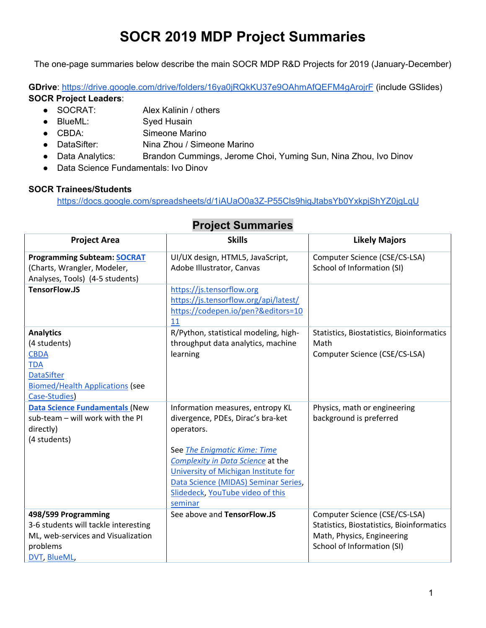## **SOCR 2019 MDP Project Summaries**

The one-page summaries below describe the main SOCR MDP R&D Projects for 2019 (January-December)

**GDrive**: https://drive.google.com/drive/folders/16ya0jRQkKU37e9OAhmAfQEFM4gArojrF (include GSlides) **SOCR Project Leaders**:

- SOCRAT: Alex Kalinin / others
- BlueML: Syed Husain
- CBDA: Simeone Marino
- DataSifter: Nina Zhou / Simeone Marino
- Data Analytics: Brandon Cummings, Jerome Choi, Yuming Sun, Nina Zhou, Ivo Dinov
- Data Science Fundamentals: Ivo Dinov

## **SOCR Trainees/Students**

https://docs.google.com/spreadsheets/d/1iAUaO0a3Z-P55Cls9higJtabsYb0YxkpjShYZ0jgLqU

| <b>Project Area</b>                                                                                                                           | <b>Skills</b>                                                                                                                                                                                                                                                                           | <b>Likely Majors</b>                                                                                                                   |
|-----------------------------------------------------------------------------------------------------------------------------------------------|-----------------------------------------------------------------------------------------------------------------------------------------------------------------------------------------------------------------------------------------------------------------------------------------|----------------------------------------------------------------------------------------------------------------------------------------|
| <b>Programming Subteam: SOCRAT</b><br>(Charts, Wrangler, Modeler,<br>Analyses, Tools) (4-5 students)                                          | UI/UX design, HTML5, JavaScript,<br>Adobe Illustrator, Canvas                                                                                                                                                                                                                           | Computer Science (CSE/CS-LSA)<br>School of Information (SI)                                                                            |
| <b>TensorFlow.JS</b>                                                                                                                          | https://js.tensorflow.org<br>https://js.tensorflow.org/api/latest/<br>https://codepen.io/pen?&editors=10<br>11                                                                                                                                                                          |                                                                                                                                        |
| <b>Analytics</b><br>(4 students)<br><b>CBDA</b><br><b>TDA</b><br><b>DataSifter</b><br><b>Biomed/Health Applications (see</b><br>Case-Studies) | R/Python, statistical modeling, high-<br>throughput data analytics, machine<br>learning                                                                                                                                                                                                 | Statistics, Biostatistics, Bioinformatics<br>Math<br>Computer Science (CSE/CS-LSA)                                                     |
| <b>Data Science Fundamentals (New</b><br>sub-team - will work with the PI<br>directly)<br>(4 students)                                        | Information measures, entropy KL<br>divergence, PDEs, Dirac's bra-ket<br>operators.<br>See The Enigmatic Kime: Time<br>Complexity in Data Science at the<br>University of Michigan Institute for<br>Data Science (MIDAS) Seminar Series,<br>Slidedeck, YouTube video of this<br>seminar | Physics, math or engineering<br>background is preferred                                                                                |
| 498/599 Programming<br>3-6 students will tackle interesting<br>ML, web-services and Visualization<br>problems<br>DVT, BlueML,                 | See above and TensorFlow.JS                                                                                                                                                                                                                                                             | Computer Science (CSE/CS-LSA)<br>Statistics, Biostatistics, Bioinformatics<br>Math, Physics, Engineering<br>School of Information (SI) |

## **Project Summaries**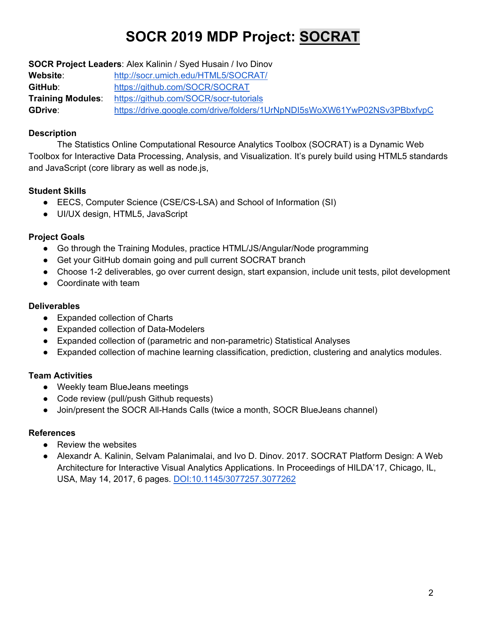# **SOCR 2019 MDP Project: SOCRAT**

**SOCR Project Leaders**: Alex Kalinin / Syed Husain / Ivo Dinov **Website**: http://socr.umich.edu/HTML5/SOCRAT/ **GitHub**: https://github.com/SOCR/SOCRAT **Training Modules**: https://github.com/SOCR/socr-tutorials **GDrive**: https://drive.google.com/drive/folders/1UrNpNDI5sWoXW61YwP02NSv3PBbxfvpC

## **Description**

 The Statistics Online Computational Resource Analytics Toolbox (SOCRAT) is a Dynamic Web Toolbox for Interactive Data Processing, Analysis, and Visualization. It's purely build using HTML5 standards and JavaScript (core library as well as node.js,

## **Student Skills**

- EECS, Computer Science (CSE/CS-LSA) and School of Information (SI)
- UI/UX design, HTML5, JavaScript

## **Project Goals**

- Go through the Training Modules, practice HTML/JS/Angular/Node programming
- Get your GitHub domain going and pull current SOCRAT branch
- Choose 1-2 deliverables, go over current design, start expansion, include unit tests, pilot development
- Coordinate with team

## **Deliverables**

- Expanded collection of Charts
- Expanded collection of Data-Modelers
- Expanded collection of (parametric and non-parametric) Statistical Analyses
- Expanded collection of machine learning classification, prediction, clustering and analytics modules.

## **Team Activities**

- Weekly team BlueJeans meetings
- Code review (pull/push Github requests)
- Join/present the SOCR All-Hands Calls (twice a month, SOCR BlueJeans channel)

## **References**

- Review the websites
- Alexandr A. Kalinin, Selvam Palanimalai, and Ivo D. Dinov. 2017. SOCRAT Platform Design: A Web Architecture for Interactive Visual Analytics Applications. In Proceedings of HILDA'17, Chicago, IL, USA, May 14, 2017, 6 pages. DOI:10.1145/3077257.3077262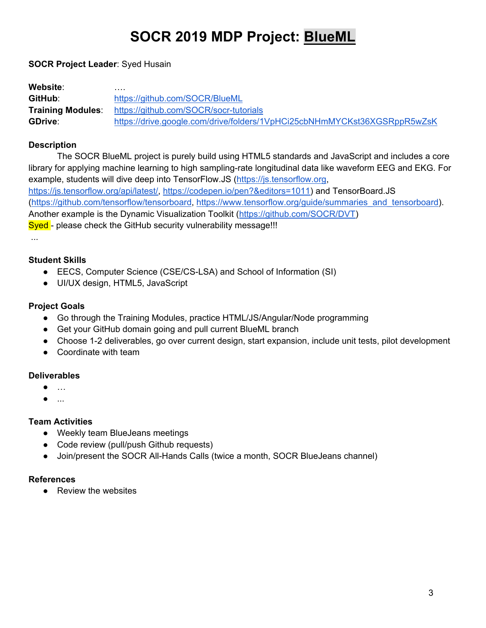## **SOCR 2019 MDP Project: BlueML**

### **SOCR Project Leader**: Syed Husain

| Website:                 | .                                                                        |
|--------------------------|--------------------------------------------------------------------------|
| GitHub:                  | https://github.com/SOCR/BlueML                                           |
| <b>Training Modules:</b> | https://github.com/SOCR/socr-tutorials                                   |
| <b>GDrive:</b>           | https://drive.google.com/drive/folders/1VpHCi25cbNHmMYCKst36XGSRppR5wZsK |

#### **Description**

 The SOCR BlueML project is purely build using HTML5 standards and JavaScript and includes a core library for applying machine learning to high sampling-rate longitudinal data like waveform EEG and EKG. For example, students will dive deep into TensorFlow.JS (https://js.tensorflow.org, https://js.tensorflow.org/api/latest/, https://codepen.io/pen?&editors=1011) and TensorBoard.JS (https://github.com/tensorflow/tensorboard, https://www.tensorflow.org/guide/summaries\_and\_tensorboard). Another example is the Dynamic Visualization Toolkit (https://github.com/SOCR/DVT) Syed - please check the GitHub security vulnerability message!!!

...

#### **Student Skills**

- EECS, Computer Science (CSE/CS-LSA) and School of Information (SI)
- UI/UX design, HTML5, JavaScript

## **Project Goals**

- Go through the Training Modules, practice HTML/JS/Angular/Node programming
- Get your GitHub domain going and pull current BlueML branch
- Choose 1-2 deliverables, go over current design, start expansion, include unit tests, pilot development
- Coordinate with team

## **Deliverables**

- …
- ...

## **Team Activities**

- Weekly team BlueJeans meetings
- Code review (pull/push Github requests)
- Join/present the SOCR All-Hands Calls (twice a month, SOCR BlueJeans channel)

#### **References**

● Review the websites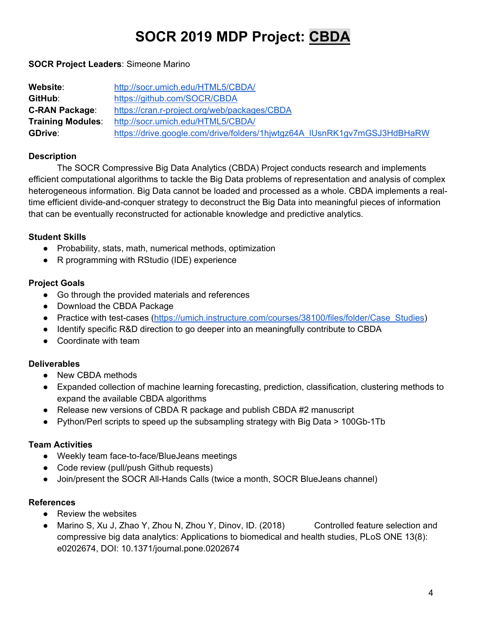# **SOCR 2019 MDP Project: CBDA**

### **SOCR Project Leaders**: Simeone Marino

| Website:                 | http://socr.umich.edu/HTML5/CBDA/                                        |
|--------------------------|--------------------------------------------------------------------------|
| GitHub:                  | https://github.com/SOCR/CBDA                                             |
| <b>C-RAN Package:</b>    | https://cran.r-project.org/web/packages/CBDA                             |
| <b>Training Modules:</b> | http://socr.umich.edu/HTML5/CBDA/                                        |
| <b>GDrive:</b>           | https://drive.google.com/drive/folders/1hjwtgz64A IUsnRK1gv7mGSJ3HdBHaRW |

### **Description**

 The SOCR Compressive Big Data Analytics (CBDA) Project conducts research and implements efficient computational algorithms to tackle the Big Data problems of representation and analysis of complex heterogeneous information. Big Data cannot be loaded and processed as a whole. CBDA implements a realtime efficient divide-and-conquer strategy to deconstruct the Big Data into meaningful pieces of information that can be eventually reconstructed for actionable knowledge and predictive analytics.

#### **Student Skills**

- Probability, stats, math, numerical methods, optimization
- R programming with RStudio (IDE) experience

#### **Project Goals**

- Go through the provided materials and references
- Download the CBDA Package
- Practice with test-cases (https://umich.instructure.com/courses/38100/files/folder/Case\_Studies)
- Identify specific R&D direction to go deeper into an meaningfully contribute to CBDA
- Coordinate with team

#### **Deliverables**

- New CBDA methods
- Expanded collection of machine learning forecasting, prediction, classification, clustering methods to expand the available CBDA algorithms
- Release new versions of CBDA R package and publish CBDA #2 manuscript
- Python/Perl scripts to speed up the subsampling strategy with Big Data > 100Gb-1Tb

#### **Team Activities**

- Weekly team face-to-face/BlueJeans meetings
- Code review (pull/push Github requests)
- Join/present the SOCR All-Hands Calls (twice a month, SOCR BlueJeans channel)

#### **References**

- Review the websites
- Marino S, Xu J, Zhao Y, Zhou N, Zhou Y, Dinov, ID. (2018) Controlled feature selection and compressive big data analytics: Applications to biomedical and health studies, PLoS ONE 13(8): e0202674, DOI: 10.1371/journal.pone.0202674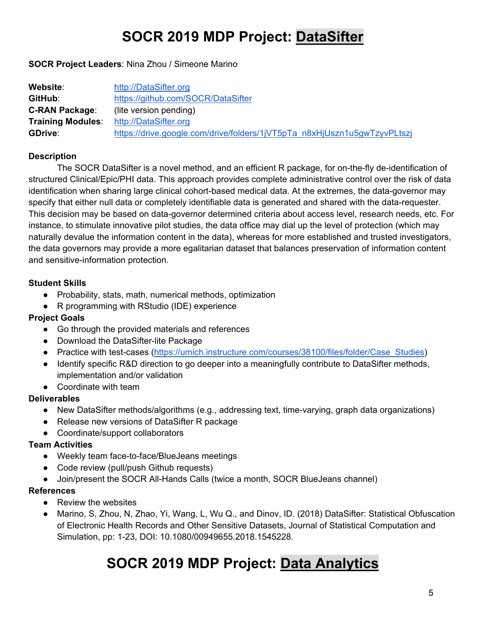## **SOCR 2019 MDP Project: DataSifter**

**SOCR Project Leaders**: Nina Zhou / Simeone Marino

| Website:                 | http://DataSifter.org                                                    |
|--------------------------|--------------------------------------------------------------------------|
| GitHub:                  | https://github.com/SOCR/DataSifter                                       |
| <b>C-RAN Package:</b>    | (lite version pending)                                                   |
| <b>Training Modules:</b> | http://DataSifter.org                                                    |
| <b>GDrive:</b>           | https://drive.google.com/drive/folders/1jVT5pTa_n8xHjUszn1u5gwTzyvPLtszj |

## **Description**

 The SOCR DataSifter is a novel method, and an efficient R package, for on-the-fly de-identification of structured Clinical/Epic/PHI data. This approach provides complete administrative control over the risk of data identification when sharing large clinical cohort-based medical data. At the extremes, the data-governor may specify that either null data or completely identifiable data is generated and shared with the data-requester. This decision may be based on data-governor determined criteria about access level, research needs, etc. For instance, to stimulate innovative pilot studies, the data office may dial up the level of protection (which may naturally devalue the information content in the data), whereas for more established and trusted investigators, the data governors may provide a more egalitarian dataset that balances preservation of information content and sensitive-information protection.

## **Student Skills**

- Probability, stats, math, numerical methods, optimization
- R programming with RStudio (IDE) experience

## **Project Goals**

- Go through the provided materials and references
- Download the DataSifter-lite Package
- Practice with test-cases (https://umich.instructure.com/courses/38100/files/folder/Case Studies)
- Identify specific R&D direction to go deeper into a meaningfully contribute to DataSifter methods, implementation and/or validation
- Coordinate with team

## **Deliverables**

- New DataSifter methods/algorithms (e.g., addressing text, time-varying, graph data organizations)
- Release new versions of DataSifter R package
- Coordinate/support collaborators

## **Team Activities**

- Weekly team face-to-face/BlueJeans meetings
- Code review (pull/push Github requests)
- Join/present the SOCR All-Hands Calls (twice a month, SOCR BlueJeans channel)

## **References**

- Review the websites
- Marino, S, Zhou, N, Zhao, Yi, Wang, L, Wu Q., and Dinov, ID. (2018) DataSifter: Statistical Obfuscation of Electronic Health Records and Other Sensitive Datasets, Journal of Statistical Computation and Simulation, pp: 1-23, DOI: 10.1080/00949655.2018.1545228.

## **SOCR 2019 MDP Project: Data Analytics**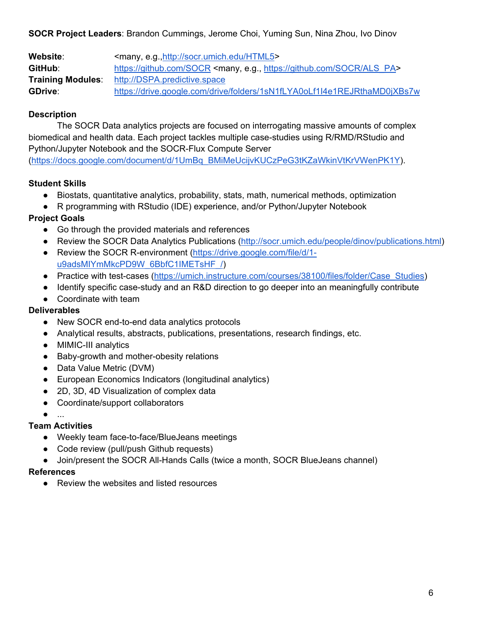**SOCR Project Leaders**: Brandon Cummings, Jerome Choi, Yuming Sun, Nina Zhou, Ivo Dinov

Website:  $\langle \text{many}, \text{e.g.,} \text{http://socr.umich.edu/HTML5>} \rangle$ **GitHub**: https://github.com/SOCR <many, e.g., https://github.com/SOCR/ALS\_PA> **Training Modules**: http://DSPA.predictive.space **GDrive**: https://drive.google.com/drive/folders/1sN1fLYA0oLf1I4e1REJRthaMD0jXBs7w

## **Description**

 The SOCR Data analytics projects are focused on interrogating massive amounts of complex biomedical and health data. Each project tackles multiple case-studies using R/RMD/RStudio and Python/Jupyter Notebook and the SOCR-Flux Compute Server

(https://docs.google.com/document/d/1UmBq\_BMiMeUcijvKUCzPeG3tKZaWkinVtKrVWenPK1Y).

## **Student Skills**

- Biostats, quantitative analytics, probability, stats, math, numerical methods, optimization
- R programming with RStudio (IDE) experience, and/or Python/Jupyter Notebook

## **Project Goals**

- Go through the provided materials and references
- Review the SOCR Data Analytics Publications (http://socr.umich.edu/people/dinov/publications.html)
- Review the SOCR R-environment (https://drive.google.com/file/d/1u9adsMIYmMkcPD9W\_6BbfC1IMETsHF\_/)
- Practice with test-cases (https://umich.instructure.com/courses/38100/files/folder/Case\_Studies)
- Identify specific case-study and an R&D direction to go deeper into an meaningfully contribute
- Coordinate with team

## **Deliverables**

- New SOCR end-to-end data analytics protocols
- Analytical results, abstracts, publications, presentations, research findings, etc.
- MIMIC-III analytics
- Baby-growth and mother-obesity relations
- Data Value Metric (DVM)
- European Economics Indicators (longitudinal analytics)
- 2D, 3D, 4D Visualization of complex data
- Coordinate/support collaborators
- ...

## **Team Activities**

- Weekly team face-to-face/BlueJeans meetings
- Code review (pull/push Github requests)
- Join/present the SOCR All-Hands Calls (twice a month, SOCR BlueJeans channel)

## **References**

● Review the websites and listed resources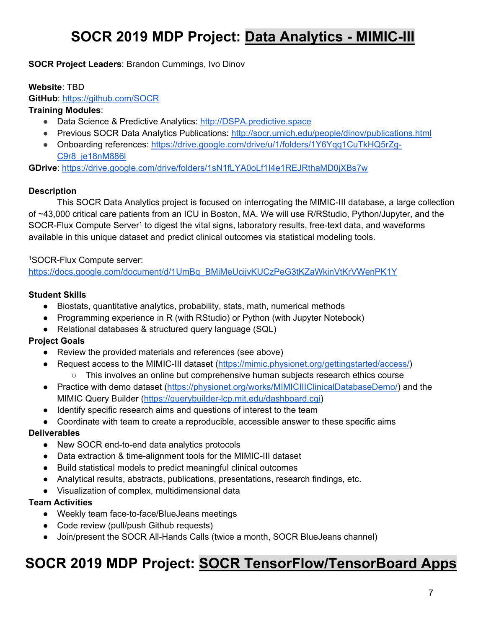## **SOCR 2019 MDP Project: Data Analytics - MIMIC-III**

**SOCR Project Leaders**: Brandon Cummings, Ivo Dinov

#### **Website**: TBD

**GitHub**: https://github.com/SOCR

## **Training Modules**:

- Data Science & Predictive Analytics: http://DSPA.predictive.space
- Previous SOCR Data Analytics Publications: http://socr.umich.edu/people/dinov/publications.html
- Onboarding references: https://drive.google.com/drive/u/1/folders/1Y6Yqq1CuTkHQ5rZq-C9r8\_je18nM886l

**GDrive**: https://drive.google.com/drive/folders/1sN1fLYA0oLf1I4e1REJRthaMD0jXBs7w

## **Description**

This SOCR Data Analytics project is focused on interrogating the MIMIC-III database, a large collection of ~43,000 critical care patients from an ICU in Boston, MA. We will use R/RStudio, Python/Jupyter, and the SOCR-Flux Compute Server<sup>1</sup> to digest the vital signs, laboratory results, free-text data, and waveforms available in this unique dataset and predict clinical outcomes via statistical modeling tools.

#### 1SOCR-Flux Compute server:

https://docs.google.com/document/d/1UmBq\_BMiMeUcijvKUCzPeG3tKZaWkinVtKrVWenPK1Y

#### **Student Skills**

- Biostats, quantitative analytics, probability, stats, math, numerical methods
- Programming experience in R (with RStudio) or Python (with Jupyter Notebook)
- Relational databases & structured query language (SQL)

## **Project Goals**

- Review the provided materials and references (see above)
- Request access to the MIMIC-III dataset (https://mimic.physionet.org/gettingstarted/access/) ○ This involves an online but comprehensive human subjects research ethics course
- Practice with demo dataset (https://physionet.org/works/MIMICIIIClinicalDatabaseDemo/) and the MIMIC Query Builder (https://querybuilder-lcp.mit.edu/dashboard.cgi)
- Identify specific research aims and questions of interest to the team
- Coordinate with team to create a reproducible, accessible answer to these specific aims

## **Deliverables**

- New SOCR end-to-end data analytics protocols
- Data extraction & time-alignment tools for the MIMIC-III dataset
- Build statistical models to predict meaningful clinical outcomes
- Analytical results, abstracts, publications, presentations, research findings, etc.
- Visualization of complex, multidimensional data

## **Team Activities**

- Weekly team face-to-face/BlueJeans meetings
- Code review (pull/push Github requests)
- Join/present the SOCR All-Hands Calls (twice a month, SOCR BlueJeans channel)

## **SOCR 2019 MDP Project: SOCR TensorFlow/TensorBoard Apps**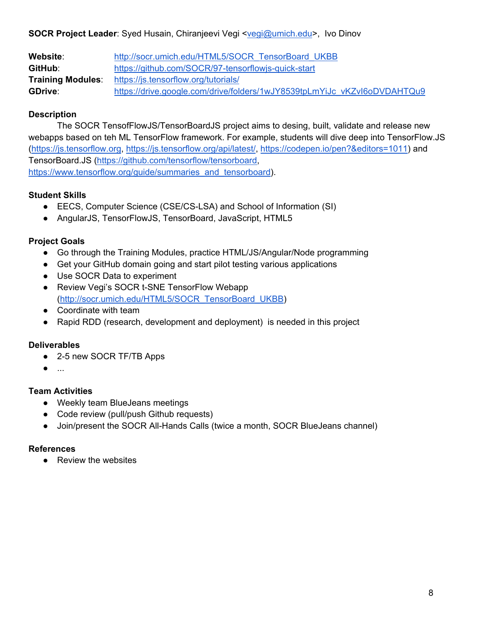**SOCR Project Leader**: Syed Husain, Chiranjeevi Vegi <<u>vegi@umich.edu</u>>, Ivo Dinov

| <b>Website:</b>          | http://socr.umich.edu/HTML5/SOCR TensorBoard UKBB                        |
|--------------------------|--------------------------------------------------------------------------|
| GitHub:                  | https://github.com/SOCR/97-tensorflowjs-quick-start                      |
| <b>Training Modules:</b> | https://js.tensorflow.org/tutorials/                                     |
| <b>GDrive:</b>           | https://drive.google.com/drive/folders/1wJY8539tpLmYiJc_vKZvI6oDVDAHTQu9 |

## **Description**

 The SOCR TensofFlowJS/TensorBoardJS project aims to desing, built, validate and release new webapps based on teh ML TensorFlow framework. For example, students will dive deep into TensorFlow.JS (https://js.tensorflow.org, https://js.tensorflow.org/api/latest/, https://codepen.io/pen?&editors=1011) and TensorBoard.JS (https://github.com/tensorflow/tensorboard, https://www.tensorflow.org/guide/summaries\_and\_tensorboard).

## **Student Skills**

- EECS, Computer Science (CSE/CS-LSA) and School of Information (SI)
- AngularJS, TensorFlowJS, TensorBoard, JavaScript, HTML5

## **Project Goals**

- Go through the Training Modules, practice HTML/JS/Angular/Node programming
- Get your GitHub domain going and start pilot testing various applications
- Use SOCR Data to experiment
- Review Vegi's SOCR t-SNE TensorFlow Webapp (http://socr.umich.edu/HTML5/SOCR\_TensorBoard\_UKBB)
- Coordinate with team
- Rapid RDD (research, development and deployment) is needed in this project

## **Deliverables**

- 2-5 new SOCR TF/TB Apps
- ...

## **Team Activities**

- Weekly team BlueJeans meetings
- Code review (pull/push Github requests)
- Join/present the SOCR All-Hands Calls (twice a month, SOCR BlueJeans channel)

#### **References**

● Review the websites